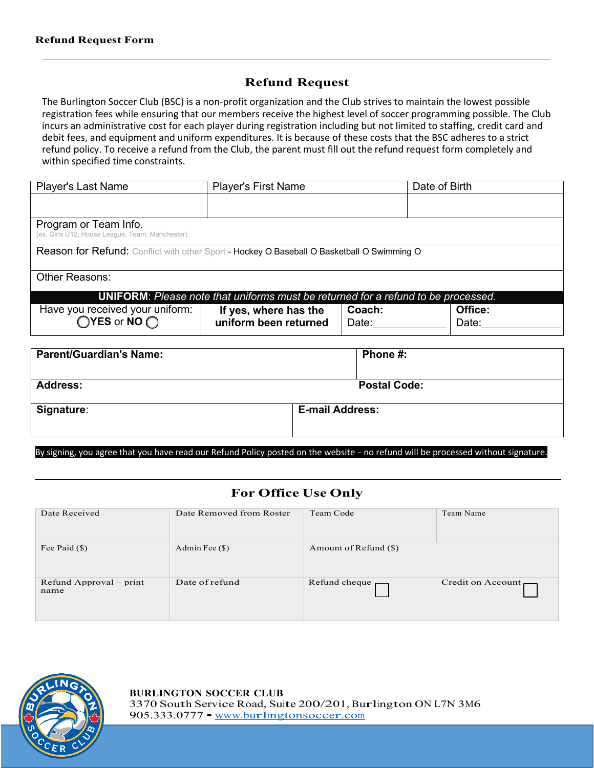## **Refund Request**

The Burlington Soccer Club (BSC) is a non-profit organization and the Club strives to maintain the lowest possible registration fees while ensuring that our members receive the highest level of soccer programming possible. The Club incurs an administrative cost for each player during registration including but not limited to staffing, credit card and debit fees, and equipment and uniform expenditures. It is because of these costs that the BSC adheres to a strict refund policy. To receive a refund from the Club, the parent must fill out the refund request form completely and within specified time constraints.

| <b>Player's Last Name</b>                                                                  | <b>Player's First Name</b>                     | Date of Birth   |                  |  |  |
|--------------------------------------------------------------------------------------------|------------------------------------------------|-----------------|------------------|--|--|
|                                                                                            |                                                |                 |                  |  |  |
| Program or Team Info.<br>(ex. Girls U12, House League, Team: Manchester)                   |                                                |                 |                  |  |  |
| Reason for Refund: Conflict with other Sport - Hockey O Baseball O Basketball O Swimming O |                                                |                 |                  |  |  |
| <b>Other Reasons:</b>                                                                      |                                                |                 |                  |  |  |
| <b>UNIFORM:</b> Please note that uniforms must be returned for a refund to be processed.   |                                                |                 |                  |  |  |
| Have you received your uniform:<br>$OYES$ or NO $O$                                        | If yes, where has the<br>uniform been returned | Coach:<br>Date: | Office:<br>Date: |  |  |

| <b>Parent/Guardian's Name:</b> | Phone #:               |
|--------------------------------|------------------------|
| <b>Address:</b>                | <b>Postal Code:</b>    |
| Signature:                     | <b>E-mail Address:</b> |

By signing, you agree that you have read our Refund Policy posted on the website - no refund will be processed without signature.

## **For Office Use Only**

| Date Received                   | Date Removed from Roster | Team Code                    | Team Name         |
|---------------------------------|--------------------------|------------------------------|-------------------|
| Fee Paid $(\$)$                 | Admin Fee $(\$)$         | Amount of Refund $(\$)$      |                   |
| Refund Approval – print<br>name | Date of refund           | Refund cheque $\blacksquare$ | Credit on Account |

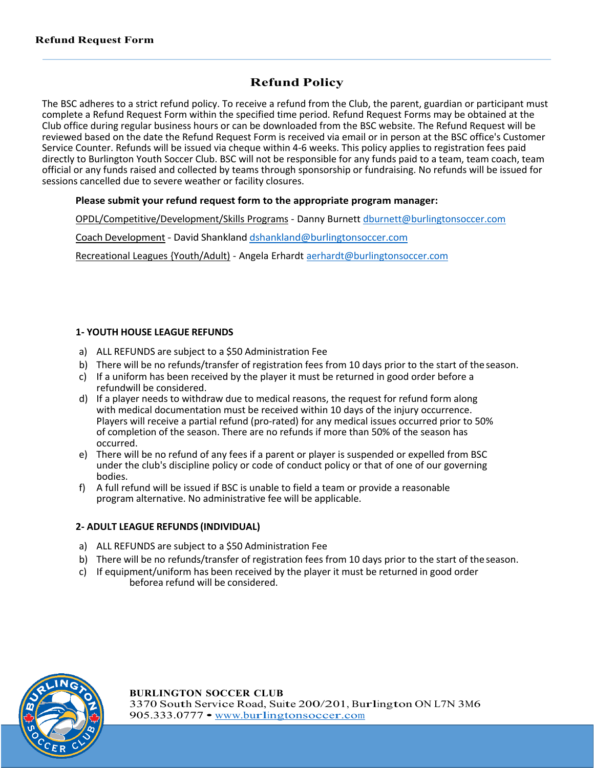# **Refund Policy**

The BSC adheres to a strict refund policy. To receive a refund from the Club, the parent, guardian or participant must complete a Refund Request Form within the specified time period. Refund Request Forms may be obtained at the Club office during regular business hours or can be downloaded from the BSC website. The Refund Request will be reviewed based on the date the Refund Request Form is received via email or in person at the BSC office's Customer Service Counter. Refunds will be issued via cheque within 4-6 weeks. This policy applies to registration fees paid directly to Burlington Youth Soccer Club. BSC will not be responsible for any funds paid to a team, team coach, team official or any funds raised and collected by teams through sponsorship or fundraising. No refunds will be issued for sessions cancelled due to severe weather or facility closures.

## **Please submit your refund request form to the appropriate program manager:**

OPDL/Competitive/Development/Skills Programs - Danny Burnett dburnett@burlingtonsoccer.com

Coach Development - David Shankland dshankland@burlingtonsoccer.com

Recreational Leagues {Youth/Adult) - Angela Erhardt aerhardt@burlingtonsoccer.com

### **1- YOUTH HOUSE LEAGUE REFUNDS**

- a) ALL REFUNDS are subject to a \$50 Administration Fee
- b) There will be no refunds/transfer of registration fees from 10 days prior to the start of the season.
- c) If a uniform has been received by the player it must be returned in good order before a refundwill be considered.
- d) If a player needs to withdraw due to medical reasons, the request for refund form along with medical documentation must be received within 10 days of the injury occurrence. Players will receive a partial refund (pro-rated) for any medical issues occurred prior to 50% of completion of the season. There are no refunds if more than 50% of the season has occurred.
- e) There will be no refund of any fees if a parent or player is suspended or expelled from BSC under the club's discipline policy or code of conduct policy or that of one of our governing bodies.
- f) A full refund will be issued if BSC is unable to field a team or provide a reasonable program alternative. No administrative fee will be applicable.

### **2- ADULT LEAGUE REFUNDS (INDIVIDUAL)**

- a) ALL REFUNDS are subject to a \$50 Administration Fee
- b) There will be no refunds/transfer of registration fees from 10 days prior to the start of the season.
- c) If equipment/uniform has been received by the player it must be returned in good order beforea refund will be considered.

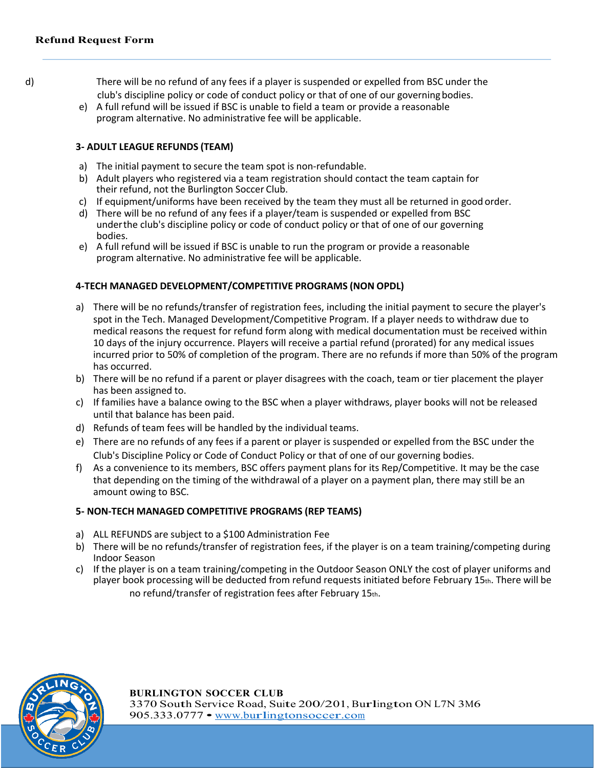- d) There will be no refund of any fees if a player is suspended or expelled from BSC under the club's discipline policy or code of conduct policy or that of one of our governingbodies.
	- e) A full refund will be issued if BSC is unable to field a team or provide a reasonable program alternative. No administrative fee will be applicable.

#### **3- ADULT LEAGUE REFUNDS (TEAM)**

- a) The initial payment to secure the team spot is non-refundable.
- b) Adult players who registered via a team registration should contact the team captain for their refund, not the Burlington Soccer Club.
- c) If equipment/uniforms have been received by the team they must all be returned in good order.
- d) There will be no refund of any fees if a player/team is suspended or expelled from BSC underthe club's discipline policy or code of conduct policy or that of one of our governing bodies.
- e) A full refund will be issued if BSC is unable to run the program or provide a reasonable program alternative. No administrative fee will be applicable.

#### **4-TECH MANAGED DEVELOPMENT/COMPETITIVE PROGRAMS (NON OPDL)**

- a) There will be no refunds/transfer of registration fees, including the initial payment to secure the player's spot in the Tech. Managed Development/Competitive Program. If a player needs to withdraw due to medical reasons the request for refund form along with medical documentation must be received within 10 days of the injury occurrence. Players will receive a partial refund (prorated) for any medical issues incurred prior to 50% of completion of the program. There are no refunds if more than 50% of the program has occurred.
- b) There will be no refund if a parent or player disagrees with the coach, team or tier placement the player has been assigned to.
- c) If families have a balance owing to the BSC when a player withdraws, player books will not be released until that balance has been paid.
- d) Refunds of team fees will be handled by the individual teams.
- e) There are no refunds of any fees if a parent or player is suspended or expelled from the BSC under the Club's Discipline Policy or Code of Conduct Policy or that of one of our governing bodies.
- f) As a convenience to its members, BSC offers payment plans for its Rep/Competitive. It may be the case that depending on the timing of the withdrawal of a player on a payment plan, there may still be an amount owing to BSC.

#### **5- NON-TECH MANAGED COMPETITIVE PROGRAMS (REP TEAMS)**

- a) ALL REFUNDS are subject to a \$100 Administration Fee
- b) There will be no refunds/transfer of registration fees, if the player is on a team training/competing during Indoor Season
- c) If the player is on a team training/competing in the Outdoor Season ONLY the cost of player uniforms and player book processing will be deducted from refund requests initiated before February 15th. There will be no refund/transfer of registration fees after February 15th.